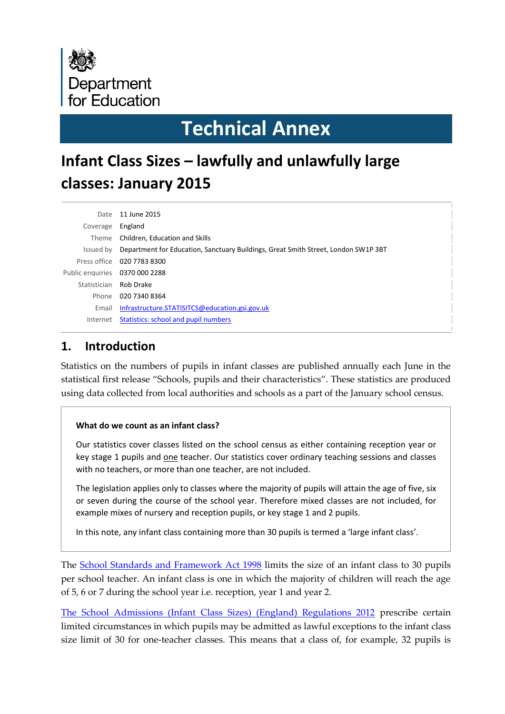

# **Technical Annex**

## **Infant Class Sizes – lawfully and unlawfully large classes: January 2015**

| Date                           | 11 June 2015                                                                       |
|--------------------------------|------------------------------------------------------------------------------------|
| Coverage                       | England                                                                            |
| Theme                          | Children, Education and Skills                                                     |
| Issued by                      | Department for Education, Sanctuary Buildings, Great Smith Street, London SW1P 3BT |
|                                | Press office 020 7783 8300                                                         |
| Public enquiries 0370 000 2288 |                                                                                    |
| Statistician Rob Drake         |                                                                                    |
| Phone                          | 020 7340 8364                                                                      |
| Email                          | Infrastructure.STATISITCS@education.gsi.gov.uk                                     |
| Internet                       | Statistics: school and pupil numbers                                               |

### **1. Introduction**

Statistics on the numbers of pupils in infant classes are published annually each June in the statistical first release "Schools, pupils and their characteristics". These statistics are produced using data collected from local authorities and schools as a part of the January school census.

#### **What do we count as an infant class?**

Our statistics cover classes listed on the school census as either containing reception year or key stage 1 pupils and one teacher. Our statistics cover ordinary teaching sessions and classes with no teachers, or more than one teacher, are not included.

The legislation applies only to classes where the majority of pupils will attain the age of five, six or seven during the course of the school year. Therefore mixed classes are not included, for example mixes of nursery and reception pupils, or key stage 1 and 2 pupils.

In this note, any infant class containing more than 30 pupils is termed a 'large infant class'.

The [School Standards and Framework Act 1998](http://www.legislation.gov.uk/ukpga/1998/31/contents) limits the size of an infant class to 30 pupils per school teacher. An infant class is one in which the majority of children will reach the age of 5, 6 or 7 during the school year i.e. reception, year 1 and year 2.

[The School Admissions \(Infant Class Sizes\) \(England\) Regulations 2012](http://www.legislation.gov.uk/uksi/2012/10/contents/made) prescribe certain limited circumstances in which pupils may be admitted as lawful exceptions to the infant class size limit of 30 for one-teacher classes. This means that a class of, for example, 32 pupils is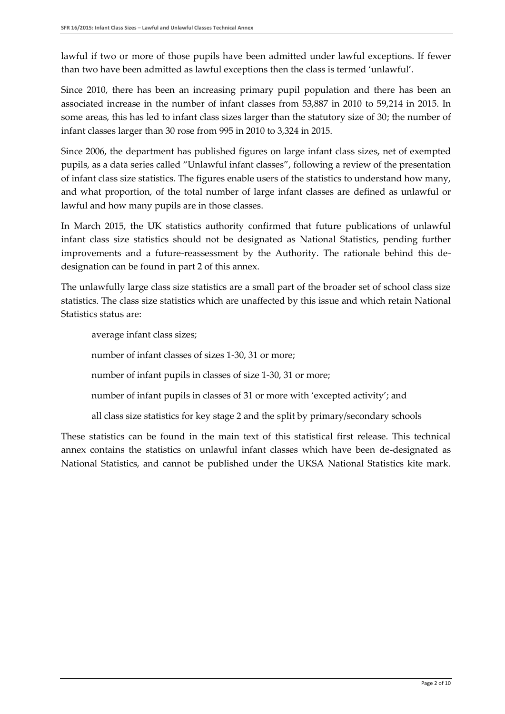lawful if two or more of those pupils have been admitted under lawful exceptions. If fewer than two have been admitted as lawful exceptions then the class is termed 'unlawful'.

Since 2010, there has been an increasing primary pupil population and there has been an associated increase in the number of infant classes from 53,887 in 2010 to 59,214 in 2015. In some areas, this has led to infant class sizes larger than the statutory size of 30; the number of infant classes larger than 30 rose from 995 in 2010 to 3,324 in 2015.

Since 2006, the department has published figures on large infant class sizes, net of exempted pupils, as a data series called "Unlawful infant classes", following a review of the presentation of infant class size statistics. The figures enable users of the statistics to understand how many, and what proportion, of the total number of large infant classes are defined as unlawful or lawful and how many pupils are in those classes.

In March 2015, the UK statistics authority confirmed that future publications of unlawful infant class size statistics should not be designated as National Statistics, pending further improvements and a future-reassessment by the Authority. The rationale behind this dedesignation can be found in part 2 of this annex.

The unlawfully large class size statistics are a small part of the broader set of school class size statistics. The class size statistics which are unaffected by this issue and which retain National Statistics status are:

average infant class sizes; number of infant classes of sizes 1-30, 31 or more; number of infant pupils in classes of size 1-30, 31 or more; number of infant pupils in classes of 31 or more with 'excepted activity'; and

all class size statistics for key stage 2 and the split by primary/secondary schools

These statistics can be found in the main text of this statistical first release. This technical annex contains the statistics on unlawful infant classes which have been de-designated as National Statistics, and cannot be published under the UKSA National Statistics kite mark.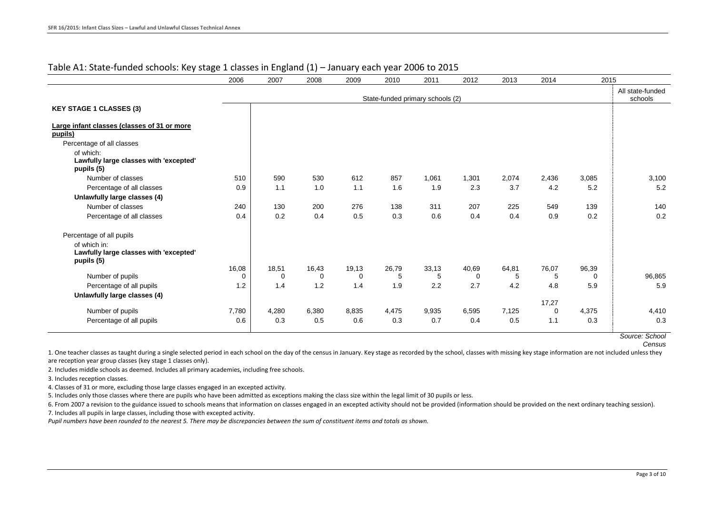|                                                                      | 2006        | 2007        | 2008  | 2009        | 2010                             | 2011  | 2012     | 2013  | 2014       | 2015     |                             |
|----------------------------------------------------------------------|-------------|-------------|-------|-------------|----------------------------------|-------|----------|-------|------------|----------|-----------------------------|
|                                                                      |             |             |       |             | State-funded primary schools (2) |       |          |       |            |          | All state-funded<br>schools |
| <b>KEY STAGE 1 CLASSES (3)</b>                                       |             |             |       |             |                                  |       |          |       |            |          |                             |
| Large infant classes (classes of 31 or more                          |             |             |       |             |                                  |       |          |       |            |          |                             |
| pupils)                                                              |             |             |       |             |                                  |       |          |       |            |          |                             |
| Percentage of all classes                                            |             |             |       |             |                                  |       |          |       |            |          |                             |
| of which:                                                            |             |             |       |             |                                  |       |          |       |            |          |                             |
| Lawfully large classes with 'excepted'<br>pupils (5)                 |             |             |       |             |                                  |       |          |       |            |          |                             |
| Number of classes                                                    | 510         | 590         | 530   | 612         | 857                              | 1,061 | 1.301    | 2,074 | 2,436      | 3,085    | 3,100                       |
| Percentage of all classes                                            | 0.9         | 1.1         | 1.0   | 1.1         | 1.6                              | 1.9   | 2.3      | 3.7   | 4.2        | 5.2      | 5.2                         |
| Unlawfully large classes (4)                                         |             |             |       |             |                                  |       |          |       |            |          |                             |
| Number of classes                                                    | 240         | 130         | 200   | 276         | 138                              | 311   | 207      | 225   | 549        | 139      | 140                         |
| Percentage of all classes                                            | 0.4         | 0.2         | 0.4   | 0.5         | 0.3                              | 0.6   | 0.4      | 0.4   | 0.9        | 0.2      | 0.2                         |
| Percentage of all pupils                                             |             |             |       |             |                                  |       |          |       |            |          |                             |
| of which in:<br>Lawfully large classes with 'excepted'<br>pupils (5) |             |             |       |             |                                  |       |          |       |            |          |                             |
|                                                                      | 16,08       | 18,51       | 16,43 | 19,13       | 26,79                            | 33,13 | 40,69    | 64,81 | 76,07      | 96,39    |                             |
| Number of pupils                                                     | $\mathbf 0$ | $\mathbf 0$ | 0     | $\mathbf 0$ | 5                                | 5     | $\Omega$ | 5     | 5          | $\Omega$ | 96,865                      |
| Percentage of all pupils                                             | 1.2         | 1.4         | 1.2   | 1.4         | 1.9                              | 2.2   | 2.7      | 4.2   | 4.8        | 5.9      | 5.9                         |
| Unlawfully large classes (4)                                         |             |             |       |             |                                  |       |          |       |            |          |                             |
| Number of pupils                                                     | 7,780       | 4,280       | 6,380 | 8,835       | 4,475                            | 9,935 | 6,595    | 7,125 | 17,27<br>0 | 4,375    | 4,410                       |
| Percentage of all pupils                                             | 0.6         | 0.3         | 0.5   | 0.6         | 0.3                              | 0.7   | 0.4      | 0.5   | 1.1        | 0.3      | 0.3                         |
|                                                                      |             |             |       |             |                                  |       |          |       |            |          |                             |

#### Table A1: State-funded schools: Key stage 1 classes in England (1) – January each year 2006 to 2015

*Source: School* 

*Census*

1. One teacher classes as taught during a single selected period in each school on the day of the census in January. Key stage as recorded by the school, classes with missing key stage information are not included unless t are reception year group classes (key stage 1 classes only).

2. Includes middle schools as deemed. Includes all primary academies, including free schools.

3. Includes reception classes.

4. Classes of 31 or more, excluding those large classes engaged in an excepted activity.

5. Includes only those classes where there are pupils who have been admitted as exceptions making the class size within the legal limit of 30 pupils or less.

6. From 2007 a revision to the guidance issued to schools means that information on classes engaged in an excepted activity should not be provided (information should be provided on the next ordinary teaching session).

7. Includes all pupils in large classes, including those with excepted activity.

*Pupil numbers have been rounded to the nearest 5. There may be discrepancies between the sum of constituent items and totals as shown.*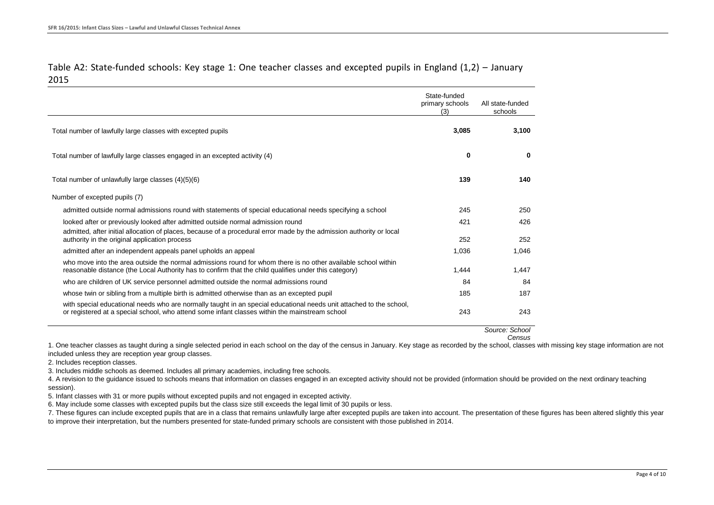#### Table A2: State-funded schools: Key stage 1: One teacher classes and excepted pupils in England (1,2) – January 2015

|                                                                                                                                                                                                                        | State-funded<br>primary schools<br>(3) | All state-funded<br>schools |
|------------------------------------------------------------------------------------------------------------------------------------------------------------------------------------------------------------------------|----------------------------------------|-----------------------------|
| Total number of lawfully large classes with excepted pupils                                                                                                                                                            | 3,085                                  | 3,100                       |
| Total number of lawfully large classes engaged in an excepted activity (4)                                                                                                                                             | 0                                      | $\Omega$                    |
| Total number of unlawfully large classes (4)(5)(6)                                                                                                                                                                     | 139                                    | 140                         |
| Number of excepted pupils (7)                                                                                                                                                                                          |                                        |                             |
| admitted outside normal admissions round with statements of special educational needs specifying a school                                                                                                              | 245                                    | 250                         |
| looked after or previously looked after admitted outside normal admission round                                                                                                                                        | 421                                    | 426                         |
| admitted, after initial allocation of places, because of a procedural error made by the admission authority or local<br>authority in the original application process                                                  | 252                                    | 252                         |
| admitted after an independent appeals panel upholds an appeal                                                                                                                                                          | 1,036                                  | 1.046                       |
| who move into the area outside the normal admissions round for whom there is no other available school within<br>reasonable distance (the Local Authority has to confirm that the child qualifies under this category) | 1,444                                  | 1,447                       |
| who are children of UK service personnel admitted outside the normal admissions round                                                                                                                                  | 84                                     | 84                          |
| whose twin or sibling from a multiple birth is admitted otherwise than as an excepted pupil                                                                                                                            | 185                                    | 187                         |
| with special educational needs who are normally taught in an special educational needs unit attached to the school,<br>or registered at a special school, who attend some infant classes within the mainstream school  | 243                                    | 243                         |

*Source: School* 

*Census*

1. One teacher classes as taught during a single selected period in each school on the day of the census in January. Key stage as recorded by the school, classes with missing key stage information are not included unless they are reception year group classes.

2. Includes reception classes.

3. Includes middle schools as deemed. Includes all primary academies, including free schools.

4. A revision to the guidance issued to schools means that information on classes engaged in an excepted activity should not be provided (information should be provided on the next ordinary teaching session).

5. Infant classes with 31 or more pupils without excepted pupils and not engaged in excepted activity.

6. May include some classes with excepted pupils but the class size still exceeds the legal limit of 30 pupils or less.

7. These figures can include excepted pupils that are in a class that remains unlawfully large after excepted pupils are taken into account. The presentation of these figures has been altered slightly this year to improve their interpretation, but the numbers presented for state-funded primary schools are consistent with those published in 2014.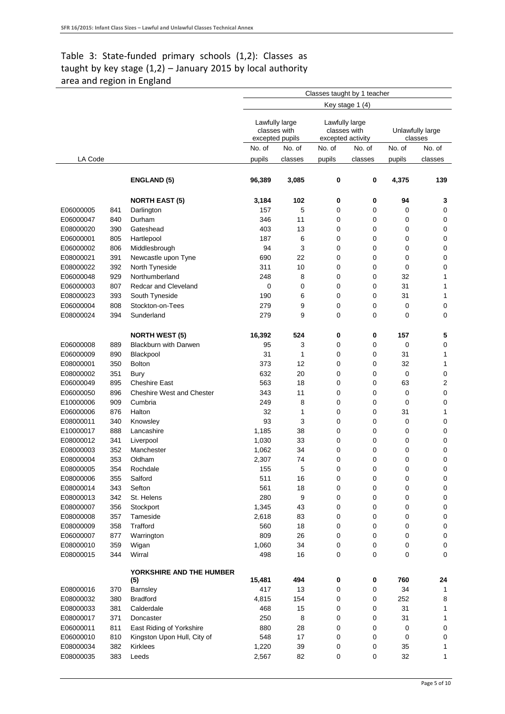#### Table 3: State-funded primary schools (1,2): Classes as taught by key stage (1,2) – January 2015 by local authority area and region in England

|           |     |                                  | Classes taught by 1 teacher                                                                                                             |         |        |             |           |            |
|-----------|-----|----------------------------------|-----------------------------------------------------------------------------------------------------------------------------------------|---------|--------|-------------|-----------|------------|
|           |     |                                  | Key stage 1 (4)                                                                                                                         |         |        |             |           |            |
|           |     |                                  | Lawfully large<br>Lawfully large<br>classes with<br>classes with<br>Unlawfully large<br>excepted pupils<br>excepted activity<br>classes |         |        |             |           |            |
|           |     |                                  | No. of                                                                                                                                  | No. of  | No. of | No. of      | No. of    | No. of     |
| LA Code   |     |                                  | pupils                                                                                                                                  | classes | pupils | classes     | pupils    | classes    |
|           |     | <b>ENGLAND (5)</b>               | 96,389                                                                                                                                  | 3,085   | 0      | 0           | 4,375     | 139        |
|           |     | <b>NORTH EAST (5)</b>            | 3,184                                                                                                                                   | 102     | 0      | 0           | 94        | 3          |
| E06000005 | 841 | Darlington                       | 157                                                                                                                                     | 5       | 0      | 0           | 0         | 0          |
| E06000047 | 840 | Durham                           | 346                                                                                                                                     | 11      | 0      | 0           | 0         | 0          |
| E08000020 | 390 | Gateshead                        | 403                                                                                                                                     | 13      | 0      | 0           | 0         | 0          |
| E06000001 | 805 | Hartlepool                       | 187                                                                                                                                     | 6       | 0      | $\mathbf 0$ | 0         | 0          |
| E06000002 | 806 | Middlesbrough                    | 94                                                                                                                                      | 3       | 0      | 0           | 0         | 0          |
| E08000021 | 391 | Newcastle upon Tyne              | 690                                                                                                                                     | 22      | 0      | 0           | 0         | 0          |
| E08000022 | 392 | North Tyneside                   | 311                                                                                                                                     | 10      | 0      | 0           | 0         | 0          |
| E06000048 | 929 | Northumberland                   | 248                                                                                                                                     | 8       | 0      | 0           | 32        | 1          |
| E06000003 | 807 | <b>Redcar and Cleveland</b>      | 0                                                                                                                                       | 0       | 0      | $\mathbf 0$ | 31        | 1          |
| E08000023 | 393 | South Tyneside                   | 190                                                                                                                                     | 6       | 0      | 0           | 31        | 1          |
| E06000004 | 808 | Stockton-on-Tees                 | 279                                                                                                                                     | 9       | 0      | 0           | 0         | 0          |
| E08000024 | 394 | Sunderland                       | 279                                                                                                                                     | 9       | 0      | $\mathbf 0$ | 0         | 0          |
|           |     | <b>NORTH WEST (5)</b>            | 16,392                                                                                                                                  | 524     | 0      | 0           | 157       | 5          |
| E06000008 | 889 | <b>Blackburn with Darwen</b>     | 95                                                                                                                                      | 3       | 0      | 0           | 0         | 0          |
| E06000009 | 890 | Blackpool                        | 31                                                                                                                                      | 1       | 0      | 0           | 31        | 1          |
| E08000001 | 350 | <b>Bolton</b>                    | 373                                                                                                                                     | 12      | 0      | 0           | 32        | 1          |
| E08000002 | 351 | Bury                             | 632                                                                                                                                     | 20      | 0      | 0           | 0         | 0          |
| E06000049 | 895 | <b>Cheshire East</b>             | 563                                                                                                                                     | 18      | 0      | 0           | 63        | 2          |
| E06000050 | 896 | <b>Cheshire West and Chester</b> | 343                                                                                                                                     | 11      | 0      | 0           | 0         | 0          |
| E10000006 | 909 | Cumbria                          | 249                                                                                                                                     | 8       | 0      | 0           | 0         | 0          |
| E06000006 | 876 | Halton                           | 32                                                                                                                                      | 1       | 0      | 0           | 31        | 1          |
| E08000011 | 340 | Knowsley                         | 93                                                                                                                                      | 3       | 0      | 0           | 0         | 0          |
| E10000017 | 888 | Lancashire                       | 1,185                                                                                                                                   | 38      | 0      | 0           | 0         | 0          |
| E08000012 | 341 | Liverpool                        | 1,030                                                                                                                                   | 33      | 0      | 0           | 0         | 0          |
| E08000003 | 352 | Manchester                       | 1,062                                                                                                                                   | 34      | 0      | $\mathbf 0$ | 0         | 0          |
| E08000004 | 353 | Oldham                           | 2,307                                                                                                                                   | 74      | 0      | 0           | 0         | 0          |
| E08000005 | 354 | Rochdale                         | 155                                                                                                                                     | 5       | 0      | 0           | 0         | 0          |
| E08000006 | 355 | Salford                          | 511                                                                                                                                     | 16      | 0      | 0           | 0         | 0          |
| E08000014 | 343 | Sefton                           | 561                                                                                                                                     | 18      | 0      | 0           | 0         | 0          |
| E08000013 | 342 | St. Helens                       | 280                                                                                                                                     | 9       | 0      | $\pmb{0}$   | 0         | 0          |
| E08000007 | 356 | Stockport                        | 1,345                                                                                                                                   | 43      | 0      | 0           | 0         | 0          |
| E08000008 | 357 | Tameside                         | 2,618                                                                                                                                   | 83      | 0      | 0           | 0         | 0          |
| E08000009 | 358 | Trafford                         | 560                                                                                                                                     | 18      | 0      | $\mathbf 0$ | 0         | 0          |
| E06000007 | 877 | Warrington                       | 809                                                                                                                                     | 26      | 0      | 0           | 0         | 0          |
| E08000010 | 359 | Wigan                            | 1,060                                                                                                                                   | 34      | 0      | 0           | 0         | 0          |
| E08000015 | 344 | Wirral                           | 498                                                                                                                                     | 16      | 0      | 0           | 0         | 0          |
|           |     | YORKSHIRE AND THE HUMBER         |                                                                                                                                         |         |        |             |           |            |
|           |     | (5)                              | 15,481<br>417                                                                                                                           | 494     | 0      | $\pmb{0}$   | 760<br>34 | ${\bf 24}$ |
| E08000016 | 370 | Barnsley                         |                                                                                                                                         | 13      | 0      | $\pmb{0}$   |           | 1          |
| E08000032 | 380 | <b>Bradford</b>                  | 4,815                                                                                                                                   | 154     | 0      | 0           | 252       | 8          |
| E08000033 | 381 | Calderdale                       | 468                                                                                                                                     | 15      | 0      | 0           | 31        | 1          |
| E08000017 | 371 | Doncaster                        | 250                                                                                                                                     | 8       | 0      | 0           | 31        | 1          |
| E06000011 | 811 | East Riding of Yorkshire         | 880                                                                                                                                     | 28      | 0      | 0           | 0         | 0          |
| E06000010 | 810 | Kingston Upon Hull, City of      | 548                                                                                                                                     | 17      | 0      | 0           | 0         | 0          |
| E08000034 | 382 | <b>Kirklees</b>                  | 1,220                                                                                                                                   | 39      | 0      | 0           | 35        | 1          |
| E08000035 | 383 | Leeds                            | 2,567                                                                                                                                   | 82      | 0      | 0           | 32        | 1          |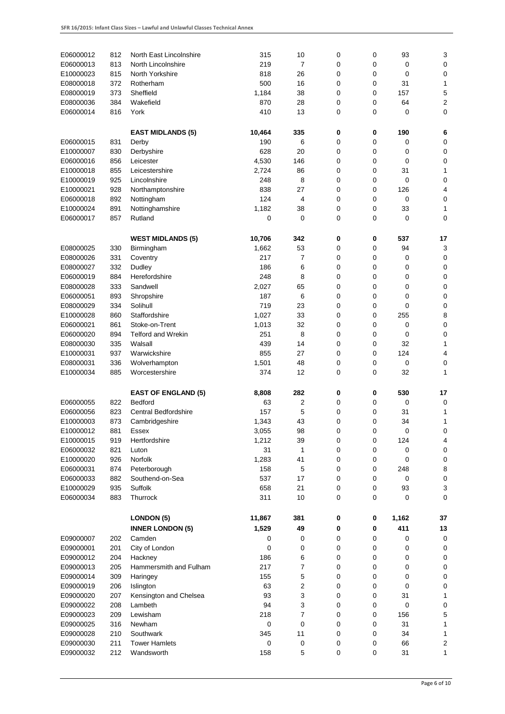| E06000012 | 812 | North East Lincolnshire    | 315          | 10             | 0           | 0 | 93    | 3              |
|-----------|-----|----------------------------|--------------|----------------|-------------|---|-------|----------------|
| E06000013 | 813 | North Lincolnshire         | 219          | $\overline{7}$ | $\mathbf 0$ | 0 | 0     | 0              |
| E10000023 | 815 | North Yorkshire            | 818          | 26             | 0           | 0 | 0     | $\pmb{0}$      |
| E08000018 | 372 | Rotherham                  | 500          | 16             | 0           | 0 | 31    | 1              |
| E08000019 | 373 | Sheffield                  | 1,184        | 38             | 0           | 0 | 157   | 5              |
| E08000036 | 384 | Wakefield                  | 870          | 28             | 0           | 0 | 64    | $\overline{c}$ |
| E06000014 | 816 | York                       | 410          | 13             | $\mathbf 0$ | 0 | 0     | 0              |
|           |     | <b>EAST MIDLANDS (5)</b>   | 10,464       | 335            | 0           | 0 | 190   | 6              |
| E06000015 | 831 | Derby                      | 190          | 6              | 0           | 0 | 0     | 0              |
| E10000007 | 830 | Derbyshire                 | 628          | 20             | 0           | 0 | 0     | 0              |
| E06000016 | 856 | Leicester                  | 4,530        | 146            | 0           | 0 | 0     | 0              |
| E10000018 | 855 | Leicestershire             | 2,724        | 86             | 0           | 0 | 31    | 1              |
| E10000019 | 925 | Lincolnshire               | 248          | 8              | 0           | 0 | 0     | 0              |
| E10000021 | 928 | Northamptonshire           | 838          | 27             | 0           | 0 | 126   | 4              |
| E06000018 | 892 | Nottingham                 | 124          | 4              | 0           | 0 | 0     | 0              |
| E10000024 | 891 | Nottinghamshire            | 1,182        | 38             | 0           | 0 | 33    | 1              |
| E06000017 | 857 | Rutland                    | 0            | 0              | $\mathbf 0$ | 0 | 0     | 0              |
|           |     |                            |              |                |             |   | 537   | 17             |
|           |     | <b>WEST MIDLANDS (5)</b>   | 10,706       | 342            | 0           | 0 |       |                |
| E08000025 | 330 | Birmingham                 | 1,662<br>217 | 53             | 0           | 0 | 94    | 3              |
| E08000026 | 331 | Coventry                   |              | 7              | 0           | 0 | 0     | 0              |
| E08000027 | 332 | Dudley                     | 186          | 6              | 0           | 0 | 0     | $\pmb{0}$      |
| E06000019 | 884 | Herefordshire              | 248          | 8              | 0           | 0 | 0     | $\mathbf 0$    |
| E08000028 | 333 | Sandwell                   | 2,027        | 65             | 0           | 0 | 0     | $\mathbf 0$    |
| E06000051 | 893 | Shropshire                 | 187          | 6              | 0           | 0 | 0     | 0              |
| E08000029 | 334 | Solihull                   | 719          | 23             | 0           | 0 | 0     | $\pmb{0}$      |
| E10000028 | 860 | Staffordshire              | 1,027        | 33             | 0           | 0 | 255   | 8              |
| E06000021 | 861 | Stoke-on-Trent             | 1,013        | 32             | 0           | 0 | 0     | 0              |
| E06000020 | 894 | <b>Telford and Wrekin</b>  | 251          | 8              | $\mathbf 0$ | 0 | 0     | 0              |
| E08000030 | 335 | Walsall                    | 439          | 14             | 0           | 0 | 32    | 1              |
| E10000031 | 937 | Warwickshire               | 855          | 27             | 0           | 0 | 124   | 4              |
| E08000031 | 336 | Wolverhampton              | 1,501        | 48             | 0           | 0 | 0     | 0              |
| E10000034 | 885 | Worcestershire             | 374          | 12             | 0           | 0 | 32    | 1              |
|           |     | <b>EAST OF ENGLAND (5)</b> | 8,808        | 282            | 0           | 0 | 530   | 17             |
| E06000055 | 822 | Bedford                    | 63           | 2              | 0           | 0 | 0     | $\pmb{0}$      |
| E06000056 | 823 | Central Bedfordshire       | 157          | 5              | 0           | 0 | 31    | 1              |
| E10000003 | 873 | Cambridgeshire             | 1,343        | 43             | $\mathbf 0$ | 0 | 34    | 1              |
| E10000012 | 881 | Essex                      | 3,055        | 98             | 0           | 0 | 0     | $\pmb{0}$      |
| E10000015 | 919 | Hertfordshire              | 1,212        | 39             | 0           | 0 | 124   | 4              |
| E06000032 | 821 | Luton                      | 31           | 1              | 0           | 0 | 0     | $\pmb{0}$      |
| E10000020 | 926 | Norfolk                    | 1,283        | 41             | 0           | 0 | 0     | $\pmb{0}$      |
| E06000031 | 874 | Peterborough               | 158          | 5              | 0           | 0 | 248   | 8              |
| E06000033 | 882 | Southend-on-Sea            | 537          | 17             | 0           | 0 | 0     | $\pmb{0}$      |
| E10000029 | 935 | Suffolk                    | 658          | 21             | 0           | 0 | 93    | 3              |
| E06000034 | 883 | Thurrock                   | 311          | 10             | $\mathbf 0$ | 0 | 0     | $\pmb{0}$      |
|           |     | <b>LONDON (5)</b>          | 11,867       | 381            | $\pmb{0}$   | 0 | 1,162 | 37             |
|           |     | <b>INNER LONDON (5)</b>    | 1,529        | 49             | 0           | 0 | 411   | 13             |
| E09000007 | 202 | Camden                     | 0            | 0              | 0           | 0 | 0     | $\pmb{0}$      |
| E09000001 | 201 | City of London             | $\mathbf 0$  | 0              | 0           | 0 | 0     | $\pmb{0}$      |
| E09000012 | 204 | Hackney                    | 186          | 6              | 0           | 0 | 0     | $\pmb{0}$      |
| E09000013 | 205 | Hammersmith and Fulham     | 217          | 7              | 0           | 0 | 0     | $\pmb{0}$      |
| E09000014 | 309 | Haringey                   | 155          | 5              | 0           | 0 | 0     | $\pmb{0}$      |
| E09000019 | 206 | Islington                  | 63           | 2              | 0           | 0 | 0     | $\pmb{0}$      |
| E09000020 | 207 | Kensington and Chelsea     | 93           | 3              | 0           | 0 | 31    | 1              |
| E09000022 | 208 | Lambeth                    | 94           | 3              | 0           | 0 | 0     | $\pmb{0}$      |
| E09000023 | 209 | Lewisham                   | 218          | 7              | 0           | 0 | 156   | $\mathbf 5$    |
| E09000025 | 316 | Newham                     | $\mathbf 0$  | 0              | 0           | 0 | 31    | 1              |
| E09000028 | 210 | Southwark                  | 345          | 11             | 0           | 0 | 34    | 1              |
| E09000030 | 211 | <b>Tower Hamlets</b>       | $\mathbf 0$  | 0              | 0           | 0 | 66    | $\mathbf{2}$   |
| E09000032 | 212 | Wandsworth                 | 158          | 5              | 0           | 0 | 31    | 1              |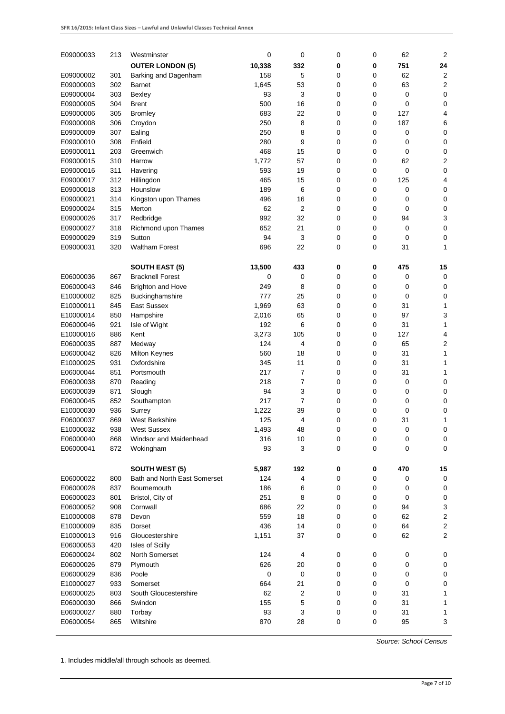| E09000033              | 213        | Westminster                   | 0           | 0                | 0      | 0         | 62          | $\overline{2}$                  |
|------------------------|------------|-------------------------------|-------------|------------------|--------|-----------|-------------|---------------------------------|
|                        |            |                               | 10,338      | 332              | 0      | 0         | 751         | 24                              |
|                        |            | <b>OUTER LONDON (5)</b>       | 158         |                  |        |           | 62          |                                 |
| E09000002<br>E09000003 | 301        | Barking and Dagenham          |             | 5                | 0      | 0         | 63          | 2                               |
| E09000004              | 302<br>303 | <b>Barnet</b><br>Bexley       | 1,645<br>93 | 53<br>3          | 0<br>0 | 0<br>0    | 0           | $\boldsymbol{2}$<br>$\mathbf 0$ |
|                        |            |                               |             |                  |        |           |             | $\mathbf 0$                     |
| E09000005              | 304        | <b>Brent</b>                  | 500         | 16               | 0      | 0         | 0           | $\overline{4}$                  |
| E09000006              | 305        | <b>Bromley</b>                | 683         | 22               | 0      | 0         | 127         |                                 |
| E09000008              | 306        | Croydon                       | 250         | 8                | 0      | 0         | 187         | 6                               |
| E09000009              | 307        | Ealing                        | 250         | 8                | 0      | 0         | 0           | $\pmb{0}$                       |
| E09000010              | 308        | Enfield                       | 280         | 9                | 0      | 0         | 0           | $\mathbf 0$                     |
| E09000011              | 203        | Greenwich                     | 468         | 15               | 0      | 0         | 0           | $\pmb{0}$                       |
| E09000015              | 310        | Harrow                        | 1,772       | 57               | 0      | 0         | 62          | 2                               |
| E09000016              | 311        | Havering                      | 593         | 19               | 0      | 0         | $\mathbf 0$ | $\pmb{0}$                       |
| E09000017              | 312        | Hillingdon                    | 465         | 15               | 0      | 0         | 125         | 4                               |
| E09000018              | 313        | Hounslow                      | 189         | 6                | 0      | 0         | 0           | $\pmb{0}$                       |
| E09000021              | 314        | Kingston upon Thames          | 496         | 16               | 0      | 0         | 0           | $\pmb{0}$                       |
| E09000024              | 315        | Merton                        | 62          | $\overline{2}$   | 0      | 0         | 0           | $\pmb{0}$                       |
| E09000026              | 317        | Redbridge                     | 992         | 32               | 0      | 0         | 94          | 3                               |
| E09000027              | 318        | Richmond upon Thames          | 652         | 21               | 0      | 0         | 0           | $\pmb{0}$                       |
| E09000029              | 319        | Sutton                        | 94          | 3                | 0      | 0         | $\mathbf 0$ | $\pmb{0}$                       |
| E09000031              | 320        | <b>Waltham Forest</b>         | 696         | 22               | 0      | 0         | 31          | 1                               |
|                        |            | <b>SOUTH EAST (5)</b>         | 13,500      | 433              | 0      | 0         | 475         | 15                              |
| E06000036              | 867        | <b>Bracknell Forest</b>       | 0           | 0                | 0      | 0         | 0           | 0                               |
| E06000043              | 846        | <b>Brighton and Hove</b>      | 249         | 8                | 0      | 0         | 0           | $\mathbf 0$                     |
| E10000002              | 825        | Buckinghamshire               | 777         | 25               | 0      | 0         | 0           | $\mathbf 0$                     |
| E10000011              | 845        | East Sussex                   | 1,969       | 63               | 0      | 0         | 31          | $\mathbf{1}$                    |
| E10000014              | 850        | Hampshire                     | 2,016       | 65               | 0      | 0         | 97          | 3                               |
| E06000046              | 921        | Isle of Wight                 | 192         | 6                | 0      | 0         | 31          | 1                               |
| E10000016              | 886        | Kent                          | 3,273       | 105              | 0      | 0         | 127         | 4                               |
| E06000035              | 887        | Medway                        | 124         | 4                | 0      | 0         | 65          | $\overline{\mathbf{c}}$         |
| E06000042              | 826        | Milton Keynes                 | 560         | 18               | 0      | 0         | 31          | 1                               |
| E10000025              | 931        | Oxfordshire                   | 345         | 11               | 0      | 0         | 31          | 1                               |
| E06000044              | 851        | Portsmouth                    | 217         | 7                | 0      | 0         | 31          | 1                               |
| E06000038              | 870        | Reading                       | 218         | 7                | 0      | 0         | 0           | $\pmb{0}$                       |
| E06000039              | 871        | Slough                        | 94          | 3                | 0      | 0         | 0           | $\pmb{0}$                       |
| E06000045              | 852        | Southampton                   | 217         | 7                | 0      | 0         | 0           | $\pmb{0}$                       |
| E10000030              | 936        | Surrey                        | 1,222       | 39               | 0      | 0         | 0           | 0                               |
| E06000037              | 869        | <b>West Berkshire</b>         | 125         | 4                | 0      | 0         | 31          | 1                               |
| E10000032              | 938        | <b>West Sussex</b>            | 1,493       | 48               | 0      | 0         | 0           | $\pmb{0}$                       |
| E06000040              | 868        | <b>Windsor and Maidenhead</b> | 316         | 10               | 0      | 0         | 0           | $\pmb{0}$                       |
| E06000041              | 872        | Wokingham                     | 93          | 3                | 0      | 0         | $\mathbf 0$ | $\pmb{0}$                       |
|                        |            | <b>SOUTH WEST (5)</b>         | 5,987       | 192              | 0      | 0         | 470         | 15                              |
| E06000022              | 800        | Bath and North East Somerset  | 124         | 4                | 0      | $\pmb{0}$ | 0           | $\pmb{0}$                       |
| E06000028              | 837        | Bournemouth                   | 186         | 6                | 0      | 0         | 0           | $\pmb{0}$                       |
| E06000023              | 801        | Bristol, City of              | 251         | 8                | 0      | 0         | 0           | $\pmb{0}$                       |
| E06000052              | 908        | Cornwall                      | 686         | 22               | 0      | 0         | 94          | $\ensuremath{\mathsf{3}}$       |
| E10000008              | 878        | Devon                         | 559         | 18               | 0      | 0         | 62          | $\sqrt{2}$                      |
| E10000009              | 835        | Dorset                        | 436         | 14               | 0      | 0         | 64          | $\boldsymbol{2}$                |
| E10000013              | 916        | Gloucestershire               | 1,151       | 37               | 0      | 0         | 62          | $\overline{2}$                  |
| E06000053              | 420        | Isles of Scilly               |             |                  |        |           |             |                                 |
| E06000024              | 802        | North Somerset                | 124         | 4                | 0      | 0         | 0           | $\pmb{0}$                       |
| E06000026              | 879        | Plymouth                      | 626         | 20               | 0      | 0         | 0           | $\pmb{0}$                       |
| E06000029              | 836        | Poole                         | 0           | 0                | 0      | 0         | 0           | $\pmb{0}$                       |
| E10000027              | 933        | Somerset                      | 664         | 21               | 0      | 0         | $\mathbf 0$ | $\pmb{0}$                       |
| E06000025              | 803        | South Gloucestershire         | 62          | $\boldsymbol{2}$ | 0      | 0         | 31          | $\mathbf{1}$                    |
| E06000030              | 866        | Swindon                       | 155         | 5                | 0      | 0         | 31          | 1                               |
| E06000027              | 880        | Torbay                        | 93          | 3                | 0      | 0         | 31          | 1                               |
| E06000054              | 865        | Wiltshire                     | 870         | 28               | 0      | 0         | 95          | 3                               |
|                        |            |                               |             |                  |        |           |             |                                 |

1. Includes middle/all through schools as deemed.

*Source: School Census*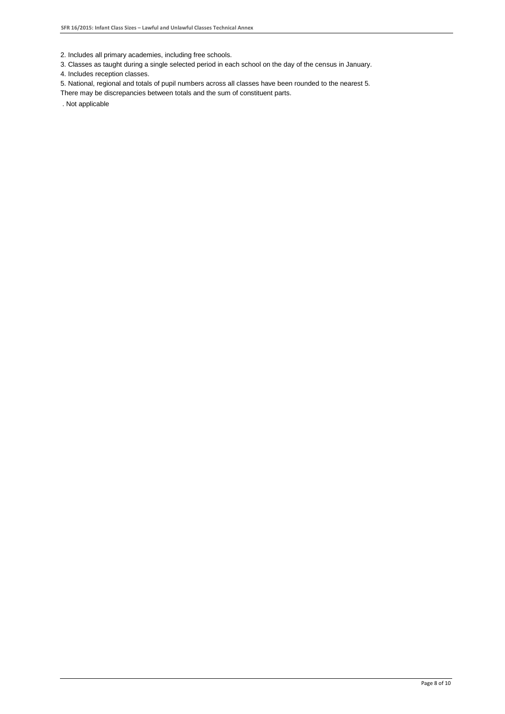2. Includes all primary academies, including free schools.

3. Classes as taught during a single selected period in each school on the day of the census in January.

4. Includes reception classes.

- 5. National, regional and totals of pupil numbers across all classes have been rounded to the nearest 5.
- There may be discrepancies between totals and the sum of constituent parts.
- . Not applicable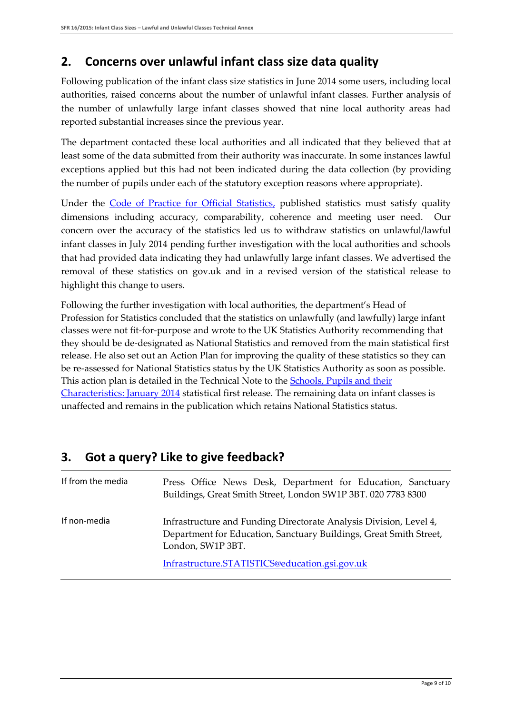## **2. Concerns over unlawful infant class size data quality**

Following publication of the infant class size statistics in June 2014 some users, including local authorities, raised concerns about the number of unlawful infant classes. Further analysis of the number of unlawfully large infant classes showed that nine local authority areas had reported substantial increases since the previous year.

The department contacted these local authorities and all indicated that they believed that at least some of the data submitted from their authority was inaccurate. In some instances lawful exceptions applied but this had not been indicated during the data collection (by providing the number of pupils under each of the statutory exception reasons where appropriate).

Under the [Code of Practice for Official Statistics,](http://www.statisticsauthority.gov.uk/assessment/code-of-practice/) published statistics must satisfy quality dimensions including accuracy, comparability, coherence and meeting user need. Our concern over the accuracy of the statistics led us to withdraw statistics on unlawful/lawful infant classes in July 2014 pending further investigation with the local authorities and schools that had provided data indicating they had unlawfully large infant classes. We advertised the removal of these statistics on gov.uk and in a revised version of the statistical release to highlight this change to users.

Following the further investigation with local authorities, the department's Head of Profession for Statistics concluded that the statistics on unlawfully (and lawfully) large infant classes were not fit-for-purpose and wrote to the UK Statistics Authority recommending that they should be de-designated as National Statistics and removed from the main statistical first release. He also set out an Action Plan for improving the quality of these statistics so they can be re-assessed for National Statistics status by the UK Statistics Authority as soon as possible. This action plan is detailed in the Technical Note to the [Schools, Pupils and their](https://www.gov.uk/government/statistics/schools-pupils-and-their-characteristics-january-2014)  [Characteristics: January 2014](https://www.gov.uk/government/statistics/schools-pupils-and-their-characteristics-january-2014) statistical first release. The remaining data on infant classes is unaffected and remains in the publication which retains National Statistics status.

## **3. Got a query? Like to give feedback?**

| If from the media | Press Office News Desk, Department for Education, Sanctuary<br>Buildings, Great Smith Street, London SW1P 3BT. 020 7783 8300                                  |
|-------------------|---------------------------------------------------------------------------------------------------------------------------------------------------------------|
| If non-media      | Infrastructure and Funding Directorate Analysis Division, Level 4,<br>Department for Education, Sanctuary Buildings, Great Smith Street,<br>London, SW1P 3BT. |
|                   | Infrastructure.STATISTICS@education.gsi.gov.uk                                                                                                                |